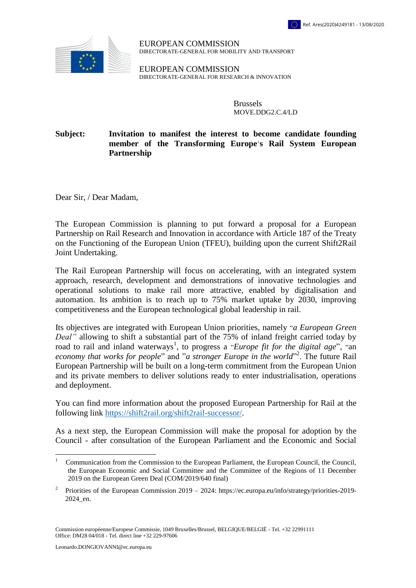

EUROPEAN COMMISSION DIRECTORATE-GENERAL FOR MOBILITY AND TRANSPORT

EUROPEAN COMMISSION DIRECTORATE-GENERAL FOR RESEARCH & INNOVATION

> Brussels MOVE.DDG2.C.4/LD

## **Subject: Invitation to manifest the interest to become candidate founding member of the Transforming Europe**'**s Rail System European Partnership**

Dear Sir, / Dear Madam,

The European Commission is planning to put forward a proposal for a European Partnership on Rail Research and Innovation in accordance with Article 187 of the Treaty on the Functioning of the European Union (TFEU), building upon the current Shift2Rail Joint Undertaking.

The Rail European Partnership will focus on accelerating, with an integrated system approach, research, development and demonstrations of innovative technologies and operational solutions to make rail more attractive, enabled by digitalisation and automation. Its ambition is to reach up to 75% market uptake by 2030, improving competitiveness and the European technological global leadership in rail.

Its objectives are integrated with European Union priorities, namely "*a European Green Deal"* allowing to shift a substantial part of the 75% of inland freight carried today by road to rail and inland waterways<sup>1</sup>, to progress a "*Europe fit for the digital age*", "an economy that works for people" and "*a stronger Europe in the world*"<sup>2</sup>. The future Rail European Partnership will be built on a long-term commitment from the European Union and its private members to deliver solutions ready to enter industrialisation, operations and deployment.

You can find more information about the proposed European Partnership for Rail at the following link [https://shift2rail.org/shift2rail-successor/.](https://shift2rail.org/shift2rail-successor/)

As a next step, the European Commission will make the proposal for adoption by the Council - after consultation of the European Parliament and the Economic and Social

 $\overline{a}$ 

<sup>1</sup> Communication from the Commission to the European Parliament, the European Council, the Council, the European Economic and Social Committee and the Committee of the Regions of 11 December 2019 on the European Green Deal (COM/2019/640 final)

<sup>2</sup> Priorities of the European Commission 2019 – 2024: [https://ec.europa.eu/info/strategy/priorities-2019-](https://ec.europa.eu/info/strategy/priorities-2019-2024_en) [2024\\_en.](https://ec.europa.eu/info/strategy/priorities-2019-2024_en)

Commission européenne/Europese Commissie, 1049 Bruxelles/Brussel, BELGIQUE/BELGIË - Tel. +32 22991111 Office: DM28 04/018 - Tel. direct line +32 229-97606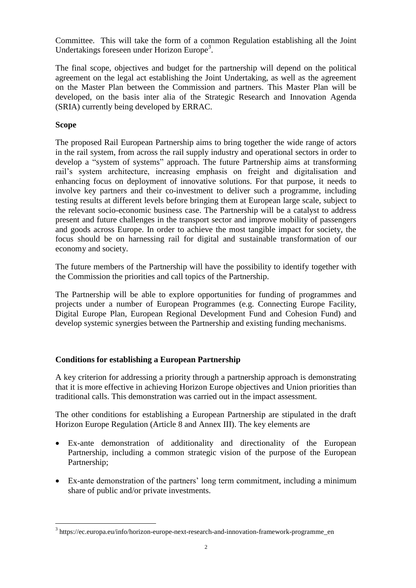Committee. This will take the form of a common Regulation establishing all the Joint Undertakings foreseen under Horizon Europe<sup>3</sup>.

The final scope, objectives and budget for the partnership will depend on the political agreement on the legal act establishing the Joint Undertaking, as well as the agreement on the Master Plan between the Commission and partners. This Master Plan will be developed, on the basis inter alia of the Strategic Research and Innovation Agenda (SRIA) currently being developed by ERRAC.

## **Scope**

 $\overline{a}$ 

The proposed Rail European Partnership aims to bring together the wide range of actors in the rail system, from across the rail supply industry and operational sectors in order to develop a "system of systems" approach. The future Partnership aims at transforming rail's system architecture, increasing emphasis on freight and digitalisation and enhancing focus on deployment of innovative solutions. For that purpose, it needs to involve key partners and their co-investment to deliver such a programme, including testing results at different levels before bringing them at European large scale, subject to the relevant socio-economic business case. The Partnership will be a catalyst to address present and future challenges in the transport sector and improve mobility of passengers and goods across Europe. In order to achieve the most tangible impact for society, the focus should be on harnessing rail for digital and sustainable transformation of our economy and society.

The future members of the Partnership will have the possibility to identify together with the Commission the priorities and call topics of the Partnership.

The Partnership will be able to explore opportunities for funding of programmes and projects under a number of European Programmes (e.g. Connecting Europe Facility, Digital Europe Plan, European Regional Development Fund and Cohesion Fund) and develop systemic synergies between the Partnership and existing funding mechanisms.

## **Conditions for establishing a European Partnership**

A key criterion for addressing a priority through a partnership approach is demonstrating that it is more effective in achieving Horizon Europe objectives and Union priorities than traditional calls. This demonstration was carried out in the impact assessment.

The other conditions for establishing a European Partnership are stipulated in the draft Horizon Europe Regulation (Article 8 and Annex III). The key elements are

- Ex-ante demonstration of additionality and directionality of the European Partnership, including a common strategic vision of the purpose of the European Partnership;
- Ex-ante demonstration of the partners' long term commitment, including a minimum share of public and/or private investments.

 $3$  https://ec.europa.eu/info/horizon-europe-next-research-and-innovation-framework-programme\_en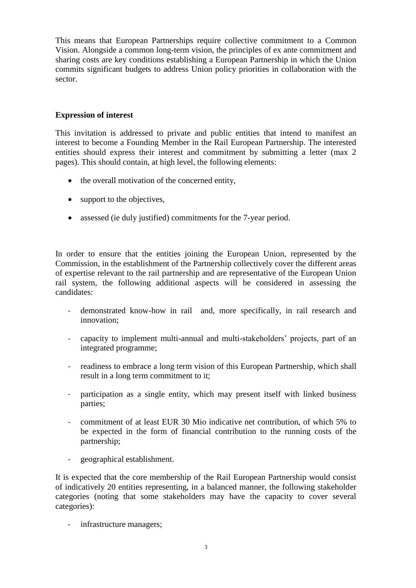This means that European Partnerships require collective commitment to a Common Vision. Alongside a common long-term vision, the principles of ex ante commitment and sharing costs are key conditions establishing a European Partnership in which the Union commits significant budgets to address Union policy priorities in collaboration with the sector.

## **Expression of interest**

This invitation is addressed to private and public entities that intend to manifest an interest to become a Founding Member in the Rail European Partnership. The interested entities should express their interest and commitment by submitting a letter (max 2 pages). This should contain, at high level, the following elements:

- the overall motivation of the concerned entity,
- support to the objectives,
- assessed (ie duly justified) commitments for the 7-year period.

In order to ensure that the entities joining the European Union, represented by the Commission, in the establishment of the Partnership collectively cover the different areas of expertise relevant to the rail partnership and are representative of the European Union rail system, the following additional aspects will be considered in assessing the candidates:

- demonstrated know-how in rail and, more specifically, in rail research and innovation;
- capacity to implement multi-annual and multi-stakeholders' projects, part of an integrated programme;
- readiness to embrace a long term vision of this European Partnership, which shall result in a long term commitment to it;
- participation as a single entity, which may present itself with linked business parties;
- commitment of at least EUR 30 Mio indicative net contribution, of which 5% to be expected in the form of financial contribution to the running costs of the partnership;
- geographical establishment.

It is expected that the core membership of the Rail European Partnership would consist of indicatively 20 entities representing, in a balanced manner, the following stakeholder categories (noting that some stakeholders may have the capacity to cover several categories):

- infrastructure managers;